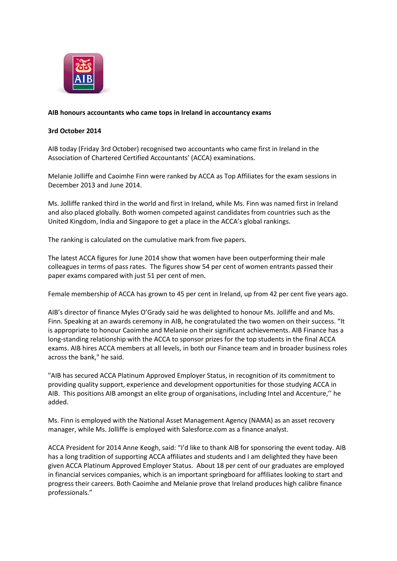

## **AIB honours accountants who came tops in Ireland in accountancy exams**

## **3rd October 2014**

AIB today (Friday 3rd October) recognised two accountants who came first in Ireland in the Association of Chartered Certified Accountants' (ACCA) examinations.

Melanie Jolliffe and Caoimhe Finn were ranked by ACCA as Top Affiliates for the exam sessions in December 2013 and June 2014.

Ms. Jolliffe ranked third in the world and first in Ireland, while Ms. Finn was named first in Ireland and also placed globally. Both women competed against candidates from countries such as the United Kingdom, India and Singapore to get a place in the ACCA's global rankings.

The ranking is calculated on the cumulative mark from five papers.

The latest ACCA figures for June 2014 show that women have been outperforming their male colleagues in terms of pass rates. The figures show 54 per cent of women entrants passed their paper exams compared with just 51 per cent of men.

Female membership of ACCA has grown to 45 per cent in Ireland, up from 42 per cent five years ago.

AIB's director of finance Myles O'Grady said he was delighted to honour Ms. Jolliffe and and Ms. Finn. Speaking at an awards ceremony in AIB, he congratulated the two women on their success. "It is appropriate to honour Caoimhe and Melanie on their significant achievements. AIB Finance has a long-standing relationship with the ACCA to sponsor prizes for the top students in the final ACCA exams. AIB hires ACCA members at all levels, in both our Finance team and in broader business roles across the bank," he said.

"AIB has secured ACCA Platinum Approved Employer Status, in recognition of its commitment to providing quality support, experience and development opportunities for those studying ACCA in AIB. This positions AIB amongst an elite group of organisations, including Intel and Accenture,'' he added.

Ms. Finn is employed with the National Asset Management Agency (NAMA) as an asset recovery manager, while Ms. Jolliffe is employed with Salesforce.com as a finance analyst.

ACCA President for 2014 Anne Keogh, said: "I'd like to thank AIB for sponsoring the event today. AIB has a long tradition of supporting ACCA affiliates and students and I am delighted they have been given ACCA Platinum Approved Employer Status. About 18 per cent of our graduates are employed in financial services companies, which is an important springboard for affiliates looking to start and progress their careers. Both Caoimhe and Melanie prove that Ireland produces high calibre finance professionals."